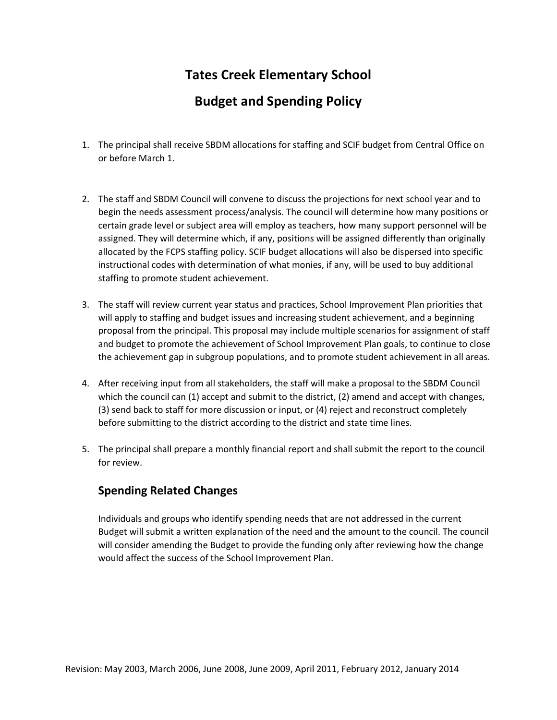# **Tates Creek Elementary School**

## **Budget and Spending Policy**

- 1. The principal shall receive SBDM allocations for staffing and SCIF budget from Central Office on or before March 1.
- 2. The staff and SBDM Council will convene to discuss the projections for next school year and to begin the needs assessment process/analysis. The council will determine how many positions or certain grade level or subject area will employ as teachers, how many support personnel will be assigned. They will determine which, if any, positions will be assigned differently than originally allocated by the FCPS staffing policy. SCIF budget allocations will also be dispersed into specific instructional codes with determination of what monies, if any, will be used to buy additional staffing to promote student achievement.
- 3. The staff will review current year status and practices, School Improvement Plan priorities that will apply to staffing and budget issues and increasing student achievement, and a beginning proposal from the principal. This proposal may include multiple scenarios for assignment of staff and budget to promote the achievement of School Improvement Plan goals, to continue to close the achievement gap in subgroup populations, and to promote student achievement in all areas.
- 4. After receiving input from all stakeholders, the staff will make a proposal to the SBDM Council which the council can (1) accept and submit to the district, (2) amend and accept with changes, (3) send back to staff for more discussion or input, or (4) reject and reconstruct completely before submitting to the district according to the district and state time lines.
- 5. The principal shall prepare a monthly financial report and shall submit the report to the council for review.

## **Spending Related Changes**

Individuals and groups who identify spending needs that are not addressed in the current Budget will submit a written explanation of the need and the amount to the council. The council will consider amending the Budget to provide the funding only after reviewing how the change would affect the success of the School Improvement Plan.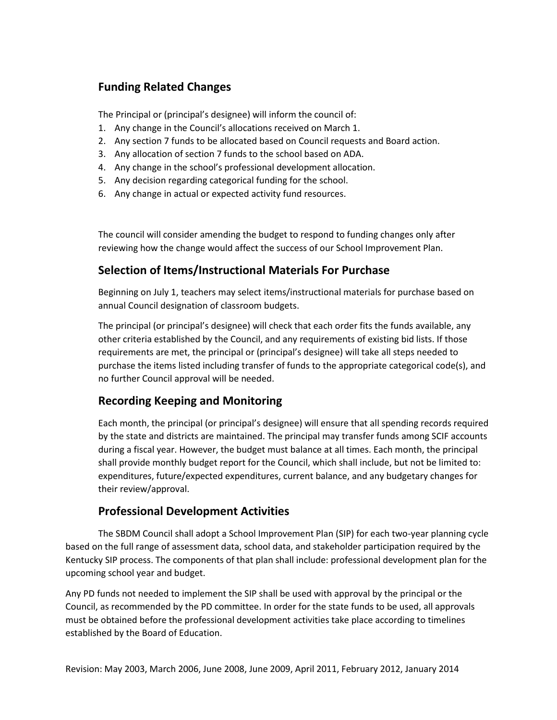## **Funding Related Changes**

The Principal or (principal's designee) will inform the council of:

- 1. Any change in the Council's allocations received on March 1.
- 2. Any section 7 funds to be allocated based on Council requests and Board action.
- 3. Any allocation of section 7 funds to the school based on ADA.
- 4. Any change in the school's professional development allocation.
- 5. Any decision regarding categorical funding for the school.
- 6. Any change in actual or expected activity fund resources.

The council will consider amending the budget to respond to funding changes only after reviewing how the change would affect the success of our School Improvement Plan.

### **Selection of Items/Instructional Materials For Purchase**

Beginning on July 1, teachers may select items/instructional materials for purchase based on annual Council designation of classroom budgets.

The principal (or principal's designee) will check that each order fits the funds available, any other criteria established by the Council, and any requirements of existing bid lists. If those requirements are met, the principal or (principal's designee) will take all steps needed to purchase the items listed including transfer of funds to the appropriate categorical code(s), and no further Council approval will be needed.

### **Recording Keeping and Monitoring**

Each month, the principal (or principal's designee) will ensure that all spending records required by the state and districts are maintained. The principal may transfer funds among SCIF accounts during a fiscal year. However, the budget must balance at all times. Each month, the principal shall provide monthly budget report for the Council, which shall include, but not be limited to: expenditures, future/expected expenditures, current balance, and any budgetary changes for their review/approval.

### **Professional Development Activities**

The SBDM Council shall adopt a School Improvement Plan (SIP) for each two-year planning cycle based on the full range of assessment data, school data, and stakeholder participation required by the Kentucky SIP process. The components of that plan shall include: professional development plan for the upcoming school year and budget.

Any PD funds not needed to implement the SIP shall be used with approval by the principal or the Council, as recommended by the PD committee. In order for the state funds to be used, all approvals must be obtained before the professional development activities take place according to timelines established by the Board of Education.